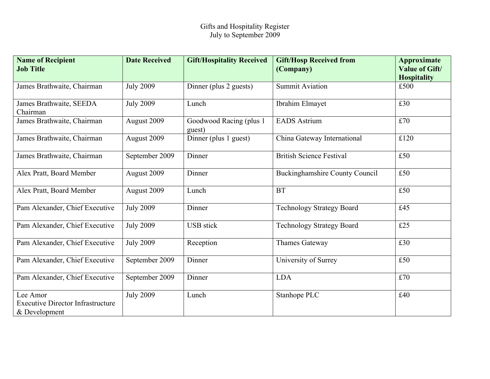| <b>Name of Recipient</b><br><b>Job Title</b>                          | <b>Date Received</b> | <b>Gift/Hospitality Received</b>  | <b>Gift/Hosp Received from</b><br>(Company) | <b>Approximate</b><br><b>Value of Gift/</b><br><b>Hospitality</b> |
|-----------------------------------------------------------------------|----------------------|-----------------------------------|---------------------------------------------|-------------------------------------------------------------------|
| James Brathwaite, Chairman                                            | <b>July 2009</b>     | Dinner (plus 2 guests)            | <b>Summit Aviation</b>                      | £500                                                              |
| James Brathwaite, SEEDA<br>Chairman                                   | <b>July 2009</b>     | Lunch                             | Ibrahim Elmayet                             | £30                                                               |
| James Brathwaite, Chairman                                            | August 2009          | Goodwood Racing (plus 1<br>guest) | <b>EADS</b> Astrium                         | £70                                                               |
| James Brathwaite, Chairman                                            | August 2009          | Dinner (plus 1 guest)             | China Gateway International                 | £120                                                              |
| James Brathwaite, Chairman                                            | September 2009       | Dinner                            | <b>British Science Festival</b>             | £50                                                               |
| Alex Pratt, Board Member                                              | August 2009          | Dinner                            | <b>Buckinghamshire County Council</b>       | £50                                                               |
| Alex Pratt, Board Member                                              | August 2009          | Lunch                             | <b>BT</b>                                   | £50                                                               |
| Pam Alexander, Chief Executive                                        | <b>July 2009</b>     | Dinner                            | <b>Technology Strategy Board</b>            | £45                                                               |
| Pam Alexander, Chief Executive                                        | <b>July 2009</b>     | <b>USB</b> stick                  | <b>Technology Strategy Board</b>            | £25                                                               |
| Pam Alexander, Chief Executive                                        | <b>July 2009</b>     | Reception                         | Thames Gateway                              | £30                                                               |
| Pam Alexander, Chief Executive                                        | September 2009       | Dinner                            | University of Surrey                        | £50                                                               |
| Pam Alexander, Chief Executive                                        | September 2009       | Dinner                            | <b>LDA</b>                                  | £70                                                               |
| Lee Amor<br><b>Executive Director Infrastructure</b><br>& Development | <b>July 2009</b>     | Lunch                             | Stanhope PLC                                | £40                                                               |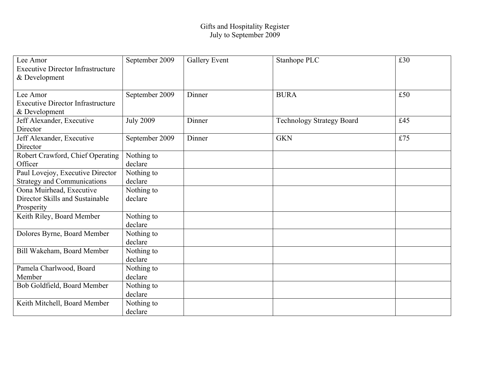## Gifts and Hospitality Register July to September 2009

| Lee Amor<br><b>Executive Director Infrastructure</b><br>& Development     | September 2009        | <b>Gallery Event</b> | Stanhope PLC                     | £30 |
|---------------------------------------------------------------------------|-----------------------|----------------------|----------------------------------|-----|
| Lee Amor<br><b>Executive Director Infrastructure</b><br>& Development     | September 2009        | Dinner               | <b>BURA</b>                      | £50 |
| Jeff Alexander, Executive<br>Director                                     | <b>July 2009</b>      | Dinner               | <b>Technology Strategy Board</b> | £45 |
| Jeff Alexander, Executive<br>Director                                     | September 2009        | Dinner               | <b>GKN</b>                       | £75 |
| Robert Crawford, Chief Operating<br>Officer                               | Nothing to<br>declare |                      |                                  |     |
| Paul Lovejoy, Executive Director<br><b>Strategy and Communications</b>    | Nothing to<br>declare |                      |                                  |     |
| Oona Muirhead, Executive<br>Director Skills and Sustainable<br>Prosperity | Nothing to<br>declare |                      |                                  |     |
| Keith Riley, Board Member                                                 | Nothing to<br>declare |                      |                                  |     |
| Dolores Byrne, Board Member                                               | Nothing to<br>declare |                      |                                  |     |
| Bill Wakeham, Board Member                                                | Nothing to<br>declare |                      |                                  |     |
| Pamela Charlwood, Board<br>Member                                         | Nothing to<br>declare |                      |                                  |     |
| Bob Goldfield, Board Member                                               | Nothing to<br>declare |                      |                                  |     |
| Keith Mitchell, Board Member                                              | Nothing to<br>declare |                      |                                  |     |